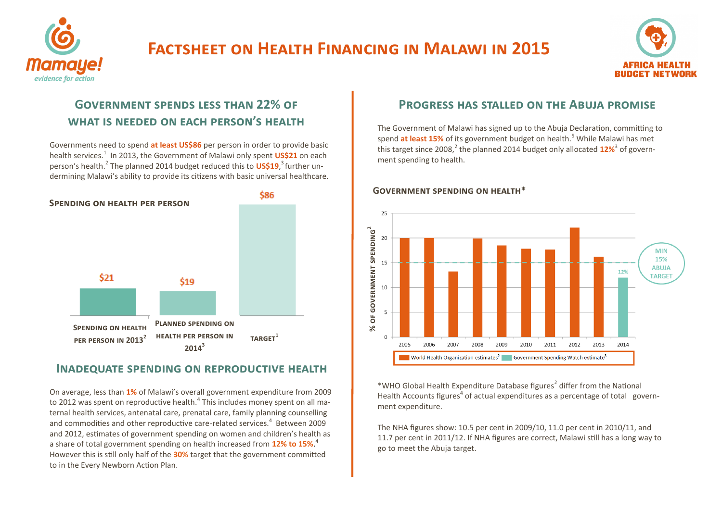

# **Factsheet on Health Financing in Malawi in 2015**



## **Government spends less than 22% of what is needed on each person's health**

Governments need to spend **at least US\$86** per person in order to provide basic health services.<sup>1</sup> In 2013, the Government of Malawi only spent **US\$21** on each person's health.<sup>2</sup> The planned 2014 budget reduced this to US\$19,<sup>3</sup> further undermining Malawi's ability to provide its citizens with basic universal healthcare.



## **Inadequate spending on reproductive health**

On average, less than **1%** of Malawi's overall government expenditure from 2009 to 2012 was spent on reproductive health.<sup>4</sup> This includes money spent on all maternal health services, antenatal care, prenatal care, family planning counselling and commodities and other reproductive care-related services. $4$  Between 2009 and 2012, estimates of government spending on women and children's health as a share of total government spending on health increased from **12% to 15%**. 4 However this is still only half of the **30%** target that the government committed to in the Every Newborn Action Plan.

## **Progress has stalled on the Abuja promise**

The Government of Malawi has signed up to the Abuja Declaration, committing to spend **at least 15%** of its government budget on health.<sup>5</sup> While Malawi has met this target since 2008,<sup>2</sup> the planned 2014 budget only allocated 12%<sup>3</sup> of government spending to health.



\*WHO Global Health Expenditure Database figures<sup>2</sup> differ from the National Health Accounts figures<sup>4</sup> of actual expenditures as a percentage of total government expenditure.

The NHA figures show: 10.5 per cent in 2009/10, 11.0 per cent in 2010/11, and 11.7 per cent in 2011/12. If NHA figures are correct, Malawi still has a long way to go to meet the Abuja target.